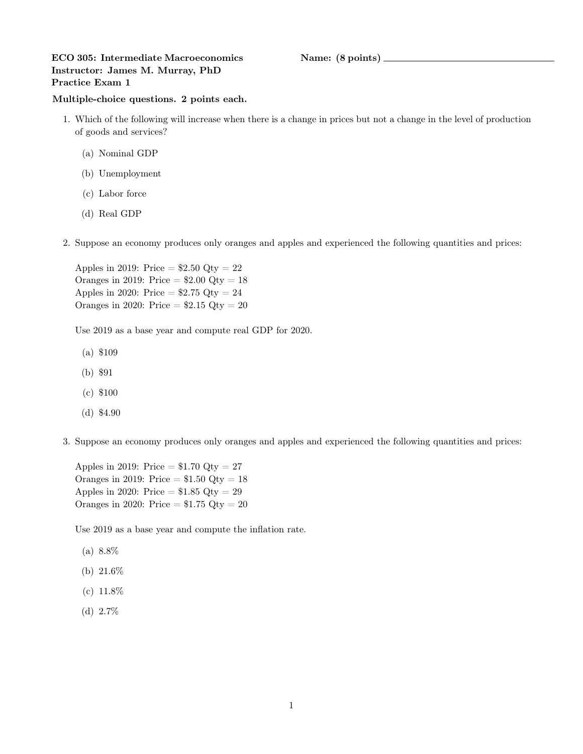## ECO 305: Intermediate Macroeconomics Name: (8 points) Instructor: James M. Murray, PhD Practice Exam 1

## Multiple-choice questions. 2 points each.

- 1. Which of the following will increase when there is a change in prices but not a change in the level of production of goods and services?
	- (a) Nominal GDP
	- (b) Unemployment
	- (c) Labor force
	- (d) Real GDP
- 2. Suppose an economy produces only oranges and apples and experienced the following quantities and prices:

Apples in 2019: Price  $= $2.50 \text{ Qty} = 22$ Oranges in 2019: Price  $= $2.00$  Qty  $= 18$ Apples in 2020: Price  $= $2.75$  Qty  $= 24$ Oranges in 2020: Price  $= $2.15$  Qty  $= 20$ 

Use 2019 as a base year and compute real GDP for 2020.

- (a) \$109
- (b) \$91
- (c) \$100
- (d) \$4.90
- 3. Suppose an economy produces only oranges and apples and experienced the following quantities and prices:

Apples in 2019: Price  $= $1.70 \text{ Qty} = 27$ Oranges in 2019: Price  $= $1.50$  Qty  $= 18$ Apples in 2020: Price  $= $1.85$  Qty  $= 29$ Oranges in 2020: Price  $= $1.75$  Qty  $= 20$ 

Use 2019 as a base year and compute the inflation rate.

- (a) 8.8%
- (b) 21.6%
- (c) 11.8%
- (d) 2.7%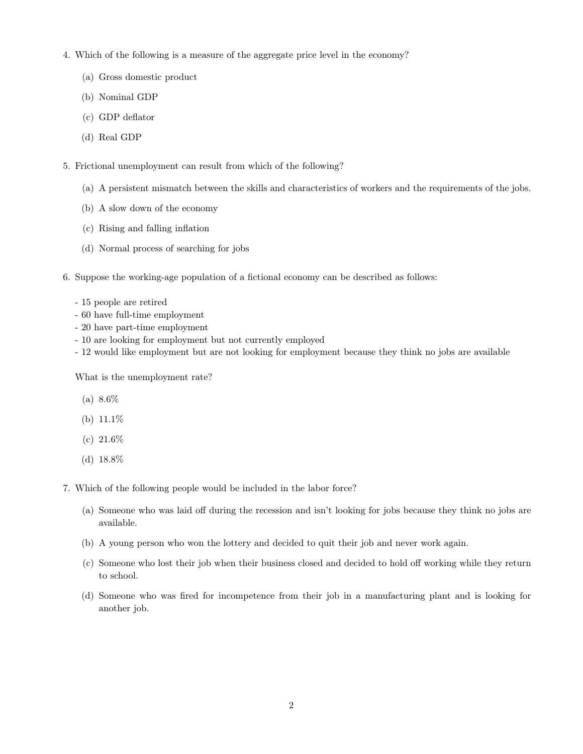- 4. Which of the following is a measure of the aggregate price level in the economy?
	- (a) Gross domestic product
	- (b) Nominal GDP
	- (c) GDP deflator
	- (d) Real GDP
- 5. Frictional unemployment can result from which of the following?
	- (a) A persistent mismatch between the skills and characteristics of workers and the requirements of the jobs.
	- (b) A slow down of the economy
	- (c) Rising and falling inflation
	- (d) Normal process of searching for jobs
- 6. Suppose the working-age population of a fictional economy can be described as follows:
	- 15 people are retired
	- 60 have full-time employment
	- 20 have part-time employment
	- 10 are looking for employment but not currently employed
	- 12 would like employment but are not looking for employment because they think no jobs are available

What is the unemployment rate?

- (a) 8.6%
- (b)  $11.1\%$
- (c) 21.6%
- (d) 18.8%
- 7. Which of the following people would be included in the labor force?
	- (a) Someone who was laid off during the recession and isn't looking for jobs because they think no jobs are available.
	- (b) A young person who won the lottery and decided to quit their job and never work again.
	- (c) Someone who lost their job when their business closed and decided to hold off working while they return to school.
	- (d) Someone who was fired for incompetence from their job in a manufacturing plant and is looking for another job.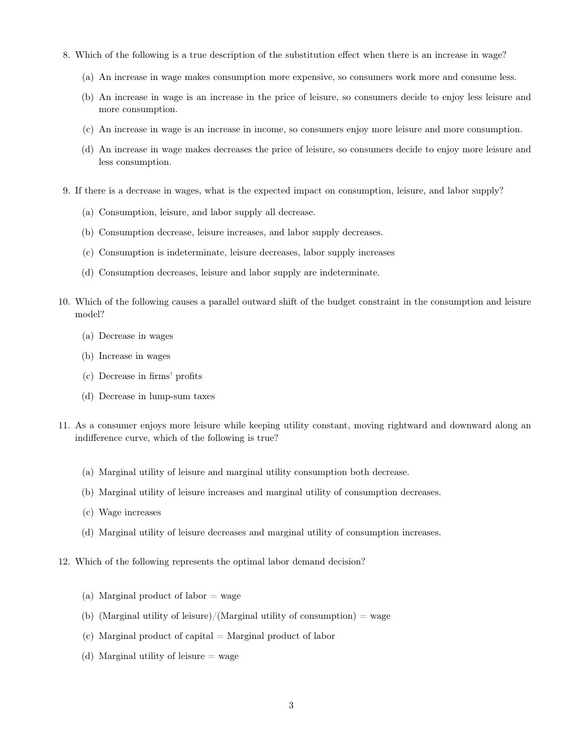- 8. Which of the following is a true description of the substitution effect when there is an increase in wage?
	- (a) An increase in wage makes consumption more expensive, so consumers work more and consume less.
	- (b) An increase in wage is an increase in the price of leisure, so consumers decide to enjoy less leisure and more consumption.
	- (c) An increase in wage is an increase in income, so consumers enjoy more leisure and more consumption.
	- (d) An increase in wage makes decreases the price of leisure, so consumers decide to enjoy more leisure and less consumption.
- 9. If there is a decrease in wages, what is the expected impact on consumption, leisure, and labor supply?
	- (a) Consumption, leisure, and labor supply all decrease.
	- (b) Consumption decrease, leisure increases, and labor supply decreases.
	- (c) Consumption is indeterminate, leisure decreases, labor supply increases
	- (d) Consumption decreases, leisure and labor supply are indeterminate.
- 10. Which of the following causes a parallel outward shift of the budget constraint in the consumption and leisure model?
	- (a) Decrease in wages
	- (b) Increase in wages
	- (c) Decrease in firms' profits
	- (d) Decrease in lump-sum taxes
- 11. As a consumer enjoys more leisure while keeping utility constant, moving rightward and downward along an indifference curve, which of the following is true?
	- (a) Marginal utility of leisure and marginal utility consumption both decrease.
	- (b) Marginal utility of leisure increases and marginal utility of consumption decreases.
	- (c) Wage increases
	- (d) Marginal utility of leisure decreases and marginal utility of consumption increases.
- 12. Which of the following represents the optimal labor demand decision?
	- (a) Marginal product of labor  $=$  wage
	- (b) (Marginal utility of leisure)/(Marginal utility of consumption) = wage
	- $(c)$  Marginal product of capital = Marginal product of labor
	- (d) Marginal utility of leisure  $=$  wage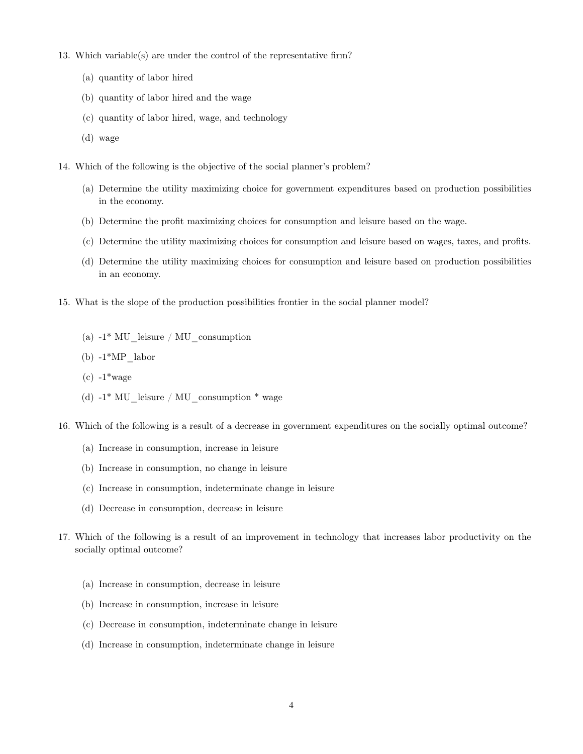- 13. Which variable(s) are under the control of the representative firm?
	- (a) quantity of labor hired
	- (b) quantity of labor hired and the wage
	- (c) quantity of labor hired, wage, and technology
	- (d) wage
- 14. Which of the following is the objective of the social planner's problem?
	- (a) Determine the utility maximizing choice for government expenditures based on production possibilities in the economy.
	- (b) Determine the profit maximizing choices for consumption and leisure based on the wage.
	- (c) Determine the utility maximizing choices for consumption and leisure based on wages, taxes, and profits.
	- (d) Determine the utility maximizing choices for consumption and leisure based on production possibilities in an economy.
- 15. What is the slope of the production possibilities frontier in the social planner model?
	- (a)  $-1^*$  MU leisure / MU consumption
	- (b)  $-1*MP$  labor
	- $(c) -1^*$ wage
	- (d)  $-1^*$  MU leisure / MU consumption  $*$  wage
- 16. Which of the following is a result of a decrease in government expenditures on the socially optimal outcome?
	- (a) Increase in consumption, increase in leisure
	- (b) Increase in consumption, no change in leisure
	- (c) Increase in consumption, indeterminate change in leisure
	- (d) Decrease in consumption, decrease in leisure
- 17. Which of the following is a result of an improvement in technology that increases labor productivity on the socially optimal outcome?
	- (a) Increase in consumption, decrease in leisure
	- (b) Increase in consumption, increase in leisure
	- (c) Decrease in consumption, indeterminate change in leisure
	- (d) Increase in consumption, indeterminate change in leisure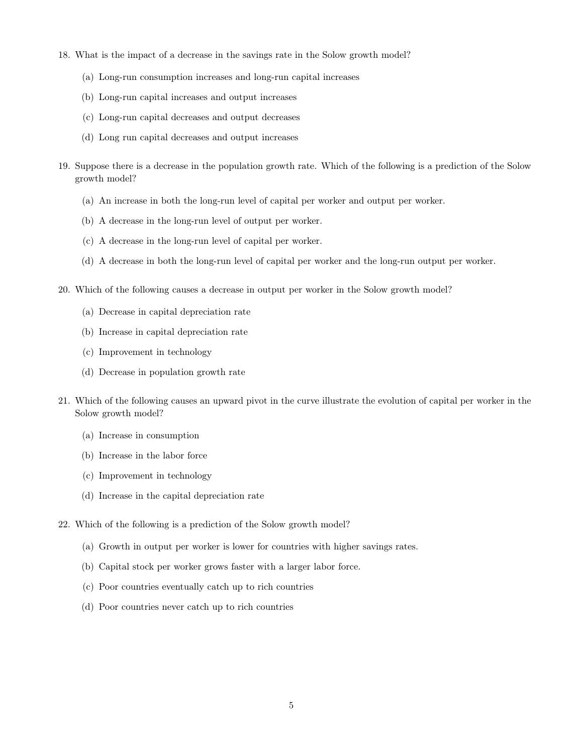- 18. What is the impact of a decrease in the savings rate in the Solow growth model?
	- (a) Long-run consumption increases and long-run capital increases
	- (b) Long-run capital increases and output increases
	- (c) Long-run capital decreases and output decreases
	- (d) Long run capital decreases and output increases
- 19. Suppose there is a decrease in the population growth rate. Which of the following is a prediction of the Solow growth model?
	- (a) An increase in both the long-run level of capital per worker and output per worker.
	- (b) A decrease in the long-run level of output per worker.
	- (c) A decrease in the long-run level of capital per worker.
	- (d) A decrease in both the long-run level of capital per worker and the long-run output per worker.
- 20. Which of the following causes a decrease in output per worker in the Solow growth model?
	- (a) Decrease in capital depreciation rate
	- (b) Increase in capital depreciation rate
	- (c) Improvement in technology
	- (d) Decrease in population growth rate
- 21. Which of the following causes an upward pivot in the curve illustrate the evolution of capital per worker in the Solow growth model?
	- (a) Increase in consumption
	- (b) Increase in the labor force
	- (c) Improvement in technology
	- (d) Increase in the capital depreciation rate
- 22. Which of the following is a prediction of the Solow growth model?
	- (a) Growth in output per worker is lower for countries with higher savings rates.
	- (b) Capital stock per worker grows faster with a larger labor force.
	- (c) Poor countries eventually catch up to rich countries
	- (d) Poor countries never catch up to rich countries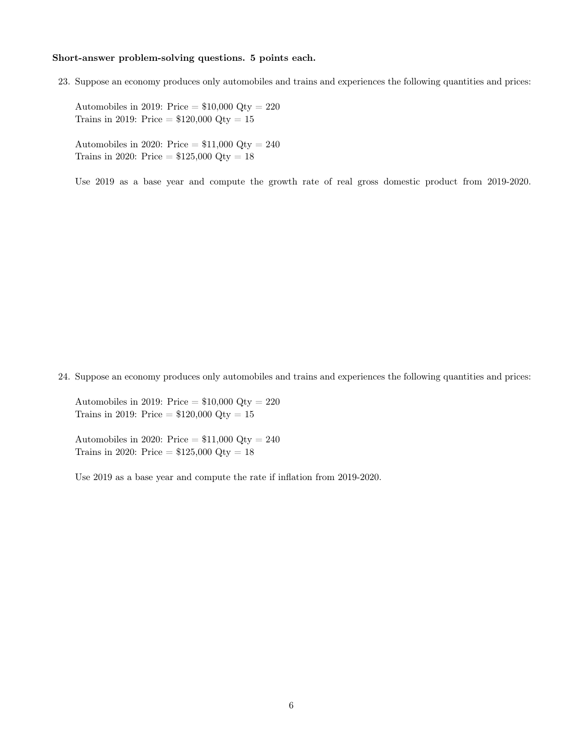## Short-answer problem-solving questions. 5 points each.

23. Suppose an economy produces only automobiles and trains and experiences the following quantities and prices:

Automobiles in 2019: Price  $= $10,000$  Qty  $= 220$ Trains in 2019: Price =  $$120,000$  Qty = 15

Automobiles in 2020: Price  $= $11,000$  Qty  $= 240$ Trains in 2020: Price =  $$125,000$  Qty = 18

Use 2019 as a base year and compute the growth rate of real gross domestic product from 2019-2020.

24. Suppose an economy produces only automobiles and trains and experiences the following quantities and prices:

Automobiles in 2019: Price  $= $10,000$  Qty  $= 220$ Trains in 2019: Price =  $$120,000$  Qty = 15

Automobiles in 2020: Price  $= $11,000$  Qty  $= 240$ Trains in 2020: Price =  $$125,000$  Qty = 18

Use 2019 as a base year and compute the rate if inflation from 2019-2020.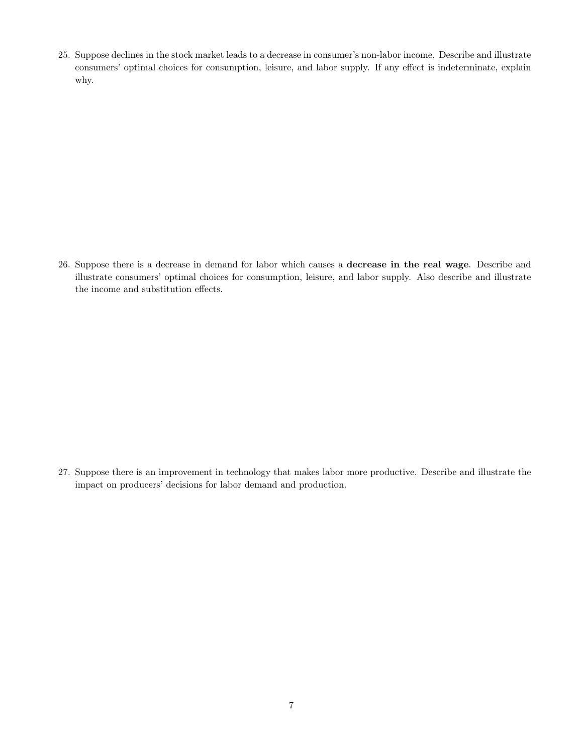25. Suppose declines in the stock market leads to a decrease in consumer's non-labor income. Describe and illustrate consumers' optimal choices for consumption, leisure, and labor supply. If any effect is indeterminate, explain why.

26. Suppose there is a decrease in demand for labor which causes a decrease in the real wage. Describe and illustrate consumers' optimal choices for consumption, leisure, and labor supply. Also describe and illustrate the income and substitution effects.

27. Suppose there is an improvement in technology that makes labor more productive. Describe and illustrate the impact on producers' decisions for labor demand and production.